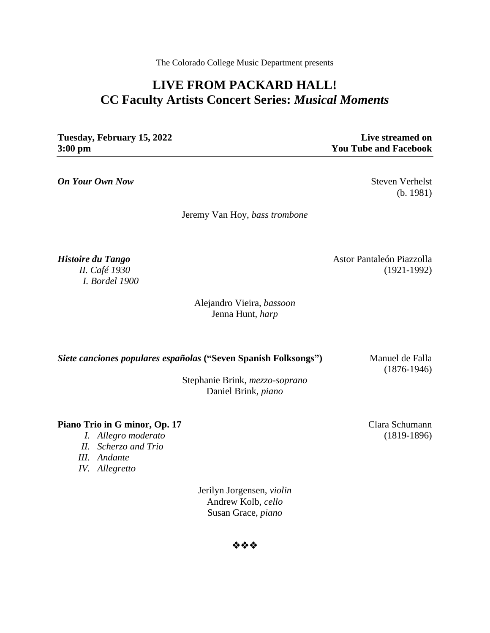The Colorado College Music Department presents

# **LIVE FROM PACKARD HALL! CC Faculty Artists Concert Series:** *Musical Moments*

**Tuesday, February 15, 2022 Live streamed on 3:00 pm You Tube and Facebook**

*On Your Own Now* Steven Verhelst

(b. 1981)

Jeremy Van Hoy, *bass trombone*

*Histoire du Tango* Astor Pantaleón Piazzolla *II. Café 1930* (1921-1992) *I. Bordel 1900*

> Alejandro Vieira, *bassoon* Jenna Hunt, *harp*

**Siete canciones populares españolas ("Seven Spanish Folksongs")** Manuel de Falla

(1876-1946)

Stephanie Brink, *mezzo-soprano* Daniel Brink, *piano*

**Piano Trio in G minor, Op. 17** Clara Schumann

- *I. Allegro moderato* (1819-1896)
- *II. Scherzo and Trio*
- *III. Andante*
- *IV. Allegretto*

Jerilyn Jorgensen, *violin* Andrew Kolb, *cello* Susan Grace, *piano*

❖❖❖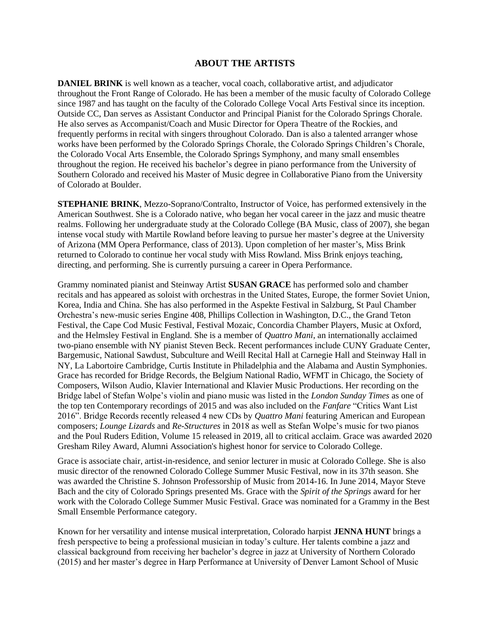### **ABOUT THE ARTISTS**

**DANIEL BRINK** is well known as a teacher, vocal coach, collaborative artist, and adjudicator throughout the Front Range of Colorado. He has been a member of the music faculty of Colorado College since 1987 and has taught on the faculty of the Colorado College Vocal Arts Festival since its inception. Outside CC, Dan serves as Assistant Conductor and Principal Pianist for the Colorado Springs Chorale. He also serves as Accompanist/Coach and Music Director for Opera Theatre of the Rockies, and frequently performs in recital with singers throughout Colorado. Dan is also a talented arranger whose works have been performed by the Colorado Springs Chorale, the Colorado Springs Children's Chorale, the Colorado Vocal Arts Ensemble, the Colorado Springs Symphony, and many small ensembles throughout the region. He received his bachelor's degree in piano performance from the University of Southern Colorado and received his Master of Music degree in Collaborative Piano from the University of Colorado at Boulder.

**STEPHANIE BRINK**, Mezzo-Soprano/Contralto, Instructor of Voice, has performed extensively in the American Southwest. She is a Colorado native, who began her vocal career in the jazz and music theatre realms. Following her undergraduate study at the Colorado College (BA Music, class of 2007), she began intense vocal study with Martile Rowland before leaving to pursue her master's degree at the University of Arizona (MM Opera Performance, class of 2013). Upon completion of her master's, Miss Brink returned to Colorado to continue her vocal study with Miss Rowland. Miss Brink enjoys teaching, directing, and performing. She is currently pursuing a career in Opera Performance.

Grammy nominated pianist and Steinway Artist **SUSAN GRACE** has performed solo and chamber recitals and has appeared as soloist with orchestras in the United States, Europe, the former Soviet Union, Korea, India and China. She has also performed in the Aspekte Festival in Salzburg, St Paul Chamber Orchestra's new-music series Engine 408, Phillips Collection in Washington, D.C., the Grand Teton Festival, the Cape Cod Music Festival, Festival Mozaic, Concordia Chamber Players, Music at Oxford, and the Helmsley Festival in England. She is a member of *Quattro Mani*, an internationally acclaimed two-piano ensemble with NY pianist Steven Beck. Recent performances include CUNY Graduate Center, Bargemusic, National Sawdust, Subculture and Weill Recital Hall at Carnegie Hall and Steinway Hall in NY, La Labortoire Cambridge, Curtis Institute in Philadelphia and the Alabama and Austin Symphonies. Grace has recorded for Bridge Records, the Belgium National Radio, WFMT in Chicago, the Society of Composers, Wilson Audio, Klavier International and Klavier Music Productions. Her recording on the Bridge label of Stefan Wolpe's violin and piano music was listed in the *London Sunday Times* as one of the top ten Contemporary recordings of 2015 and was also included on the *Fanfare* "Critics Want List 2016". Bridge Records recently released 4 new CDs by *Quattro Mani* featuring American and European composers; *Lounge Lizards* and *Re-Structures* in 2018 as well as Stefan Wolpe's music for two pianos and the Poul Ruders Edition, Volume 15 released in 2019, all to critical acclaim. Grace was awarded 2020 Gresham Riley Award, Alumni Association's highest honor for service to Colorado College.

Grace is associate chair, artist-in-residence, and senior lecturer in music at Colorado College. She is also music director of the renowned Colorado College Summer Music Festival, now in its 37th season. She was awarded the Christine S. Johnson Professorship of Music from 2014-16. In June 2014, Mayor Steve Bach and the city of Colorado Springs presented Ms. Grace with the *Spirit of the Springs* award for her work with the Colorado College Summer Music Festival. Grace was nominated for a Grammy in the Best Small Ensemble Performance category.

Known for her versatility and intense musical interpretation, Colorado harpist **JENNA HUNT** brings a fresh perspective to being a professional musician in today's culture. Her talents combine a jazz and classical background from receiving her bachelor's degree in jazz at University of Northern Colorado (2015) and her master's degree in Harp Performance at University of Denver Lamont School of Music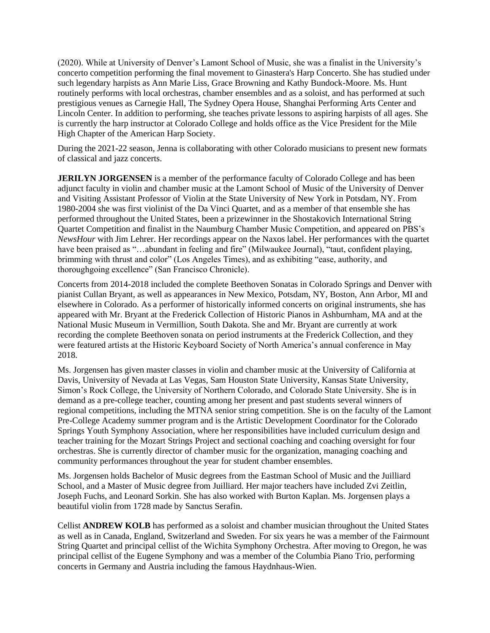(2020). While at University of Denver's Lamont School of Music, she was a finalist in the University's concerto competition performing the final movement to Ginastera's Harp Concerto. She has studied under such legendary harpists as Ann Marie Liss, Grace Browning and Kathy Bundock-Moore. Ms. Hunt routinely performs with local orchestras, chamber ensembles and as a soloist, and has performed at such prestigious venues as Carnegie Hall, The Sydney Opera House, Shanghai Performing Arts Center and Lincoln Center. In addition to performing, she teaches private lessons to aspiring harpists of all ages. She is currently the harp instructor at Colorado College and holds office as the Vice President for the Mile High Chapter of the American Harp Society.

During the 2021-22 season, Jenna is collaborating with other Colorado musicians to present new formats of classical and jazz concerts.

**JERILYN JORGENSEN** is a member of the performance faculty of Colorado College and has been adjunct faculty in violin and chamber music at the Lamont School of Music of the University of Denver and Visiting Assistant Professor of Violin at the State University of New York in Potsdam, NY. From 1980-2004 she was first violinist of the Da Vinci Quartet, and as a member of that ensemble she has performed throughout the United States, been a prizewinner in the Shostakovich International String Quartet Competition and finalist in the Naumburg Chamber Music Competition, and appeared on PBS's *NewsHour* with Jim Lehrer. Her recordings appear on the Naxos label. Her performances with the quartet have been praised as "...abundant in feeling and fire" (Milwaukee Journal), "taut, confident playing, brimming with thrust and color" (Los Angeles Times), and as exhibiting "ease, authority, and thoroughgoing excellence" (San Francisco Chronicle).

Concerts from 2014-2018 included the complete Beethoven Sonatas in Colorado Springs and Denver with pianist Cullan Bryant, as well as appearances in New Mexico, Potsdam, NY, Boston, Ann Arbor, MI and elsewhere in Colorado. As a performer of historically informed concerts on original instruments, she has appeared with Mr. Bryant at the Frederick Collection of Historic Pianos in Ashburnham, MA and at the National Music Museum in Vermillion, South Dakota. She and Mr. Bryant are currently at work recording the complete Beethoven sonata on period instruments at the Frederick Collection, and they were featured artists at the Historic Keyboard Society of North America's annual conference in May 2018.

Ms. Jorgensen has given master classes in violin and chamber music at the University of California at Davis, University of Nevada at Las Vegas, Sam Houston State University, Kansas State University, Simon's Rock College, the University of Northern Colorado, and Colorado State University. She is in demand as a pre-college teacher, counting among her present and past students several winners of regional competitions, including the MTNA senior string competition. She is on the faculty of the Lamont Pre-College Academy summer program and is the Artistic Development Coordinator for the Colorado Springs Youth Symphony Association, where her responsibilities have included curriculum design and teacher training for the Mozart Strings Project and sectional coaching and coaching oversight for four orchestras. She is currently director of chamber music for the organization, managing coaching and community performances throughout the year for student chamber ensembles.

Ms. Jorgensen holds Bachelor of Music degrees from the Eastman School of Music and the Juilliard School, and a Master of Music degree from Juilliard. Her major teachers have included Zvi Zeitlin, Joseph Fuchs, and Leonard Sorkin. She has also worked with Burton Kaplan. Ms. Jorgensen plays a beautiful violin from 1728 made by Sanctus Serafin.

Cellist **ANDREW KOLB** has performed as a soloist and chamber musician throughout the United States as well as in Canada, England, Switzerland and Sweden. For six years he was a member of the Fairmount String Quartet and principal cellist of the Wichita Symphony Orchestra. After moving to Oregon, he was principal cellist of the Eugene Symphony and was a member of the Columbia Piano Trio, performing concerts in Germany and Austria including the famous Haydnhaus-Wien.